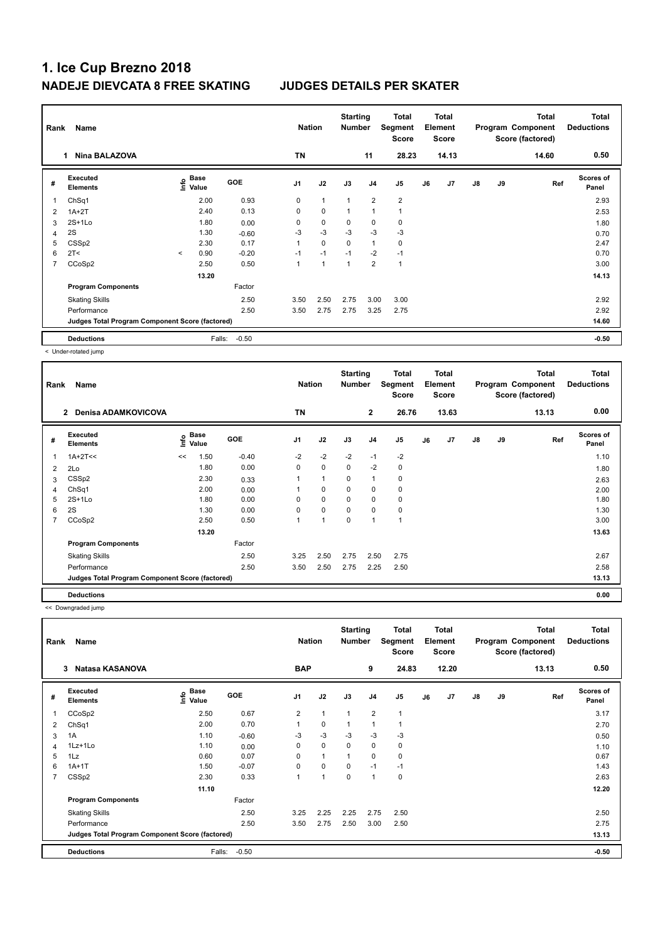| Rank | Name                                            |         |                                  |            | <b>Nation</b>  |              | <b>Starting</b><br><b>Number</b> |                | Total<br>Segment<br><b>Score</b> |    | <b>Total</b><br>Element<br><b>Score</b> |    |           | <b>Total</b><br>Program Component<br>Score (factored) | <b>Total</b><br><b>Deductions</b> |
|------|-------------------------------------------------|---------|----------------------------------|------------|----------------|--------------|----------------------------------|----------------|----------------------------------|----|-----------------------------------------|----|-----------|-------------------------------------------------------|-----------------------------------|
|      | <b>Nina BALAZOVA</b>                            |         |                                  |            | <b>TN</b>      |              |                                  | 11             | 28.23                            |    | 14.13                                   |    |           | 14.60                                                 | 0.50                              |
| #    | <b>Executed</b><br><b>Elements</b>              |         | <b>Base</b><br>o Base<br>⊆ Value | <b>GOE</b> | J <sub>1</sub> | J2           | J3                               | J <sub>4</sub> | J <sub>5</sub>                   | J6 | J7                                      | J8 | <b>J9</b> | Ref                                                   | <b>Scores of</b><br>Panel         |
| 1    | ChSq1                                           |         | 2.00                             | 0.93       | 0              | $\mathbf{1}$ | 1                                | 2              | $\overline{2}$                   |    |                                         |    |           |                                                       | 2.93                              |
| 2    | $1A+2T$                                         |         | 2.40                             | 0.13       | 0              | $\mathbf 0$  | 1                                | 1              |                                  |    |                                         |    |           |                                                       | 2.53                              |
| 3    | $2S+1Lo$                                        |         | 1.80                             | 0.00       | 0              | $\mathbf 0$  | 0                                | 0              | 0                                |    |                                         |    |           |                                                       | 1.80                              |
| 4    | 2S                                              |         | 1.30                             | $-0.60$    | $-3$           | $-3$         | $-3$                             | $-3$           | $-3$                             |    |                                         |    |           |                                                       | 0.70                              |
| 5    | CSS <sub>p2</sub>                               |         | 2.30                             | 0.17       | 1              | $\mathbf 0$  | $\Omega$                         | $\overline{1}$ | $\mathbf 0$                      |    |                                         |    |           |                                                       | 2.47                              |
| 6    | 2T <                                            | $\prec$ | 0.90                             | $-0.20$    | $-1$           | $-1$         | $-1$                             | $-2$           | $-1$                             |    |                                         |    |           |                                                       | 0.70                              |
| 7    | CCoSp2                                          |         | 2.50                             | 0.50       | 1              | 1            | $\overline{1}$                   | $\overline{2}$ | $\mathbf{1}$                     |    |                                         |    |           |                                                       | 3.00                              |
|      |                                                 |         | 13.20                            |            |                |              |                                  |                |                                  |    |                                         |    |           |                                                       | 14.13                             |
|      | <b>Program Components</b>                       |         |                                  | Factor     |                |              |                                  |                |                                  |    |                                         |    |           |                                                       |                                   |
|      | <b>Skating Skills</b>                           |         |                                  | 2.50       | 3.50           | 2.50         | 2.75                             | 3.00           | 3.00                             |    |                                         |    |           |                                                       | 2.92                              |
|      | Performance                                     |         |                                  | 2.50       | 3.50           | 2.75         | 2.75                             | 3.25           | 2.75                             |    |                                         |    |           |                                                       | 2.92                              |
|      | Judges Total Program Component Score (factored) |         |                                  |            |                |              |                                  |                |                                  |    |                                         |    |           |                                                       | 14.60                             |
|      | <b>Deductions</b>                               |         | Falls:                           | $-0.50$    |                |              |                                  |                |                                  |    |                                         |    |           |                                                       | $-0.50$                           |

< Under-rotated jump

| Rank | Name                                            |      |               |            | <b>Nation</b>  |                | <b>Starting</b><br><b>Number</b> |                | Total<br>Segment<br>Score |    | Total<br>Element<br><b>Score</b> |               |    | <b>Total</b><br>Program Component<br>Score (factored) | <b>Total</b><br><b>Deductions</b> |
|------|-------------------------------------------------|------|---------------|------------|----------------|----------------|----------------------------------|----------------|---------------------------|----|----------------------------------|---------------|----|-------------------------------------------------------|-----------------------------------|
|      | $\overline{2}$<br><b>Denisa ADAMKOVICOVA</b>    |      |               |            | <b>TN</b>      |                |                                  | $\overline{2}$ | 26.76                     |    | 13.63                            |               |    | 13.13                                                 | 0.00                              |
| #    | <b>Executed</b><br><b>Elements</b>              | ١mfo | Base<br>Value | <b>GOE</b> | J <sub>1</sub> | J2             | J3                               | J <sub>4</sub> | J <sub>5</sub>            | J6 | J7                               | $\mathsf{J}8$ | J9 | Ref                                                   | <b>Scores of</b><br>Panel         |
| 1    | $1A+2T<<$                                       | <<   | 1.50          | $-0.40$    | $-2$           | $-2$           | $-2$                             | $-1$           | $-2$                      |    |                                  |               |    |                                                       | 1.10                              |
| 2    | 2Lo                                             |      | 1.80          | 0.00       | $\Omega$       | $\mathbf 0$    | $\Omega$                         | $-2$           | 0                         |    |                                  |               |    |                                                       | 1.80                              |
| 3    | CSS <sub>p2</sub>                               |      | 2.30          | 0.33       |                | $\mathbf{1}$   | 0                                | 1              | 0                         |    |                                  |               |    |                                                       | 2.63                              |
| 4    | ChSq1                                           |      | 2.00          | 0.00       |                | 0              | 0                                | 0              | 0                         |    |                                  |               |    |                                                       | 2.00                              |
| 5    | $2S+1Lo$                                        |      | 1.80          | 0.00       | $\Omega$       | $\mathbf 0$    | $\Omega$                         | $\mathbf 0$    | 0                         |    |                                  |               |    |                                                       | 1.80                              |
| 6    | 2S                                              |      | 1.30          | 0.00       | 0              | $\mathbf 0$    | 0                                | $\mathbf 0$    | 0                         |    |                                  |               |    |                                                       | 1.30                              |
| 7    | CCoSp2                                          |      | 2.50          | 0.50       |                | $\overline{ }$ | 0                                | $\overline{1}$ | $\mathbf{1}$              |    |                                  |               |    |                                                       | 3.00                              |
|      |                                                 |      | 13.20         |            |                |                |                                  |                |                           |    |                                  |               |    |                                                       | 13.63                             |
|      | <b>Program Components</b>                       |      |               | Factor     |                |                |                                  |                |                           |    |                                  |               |    |                                                       |                                   |
|      | <b>Skating Skills</b>                           |      |               | 2.50       | 3.25           | 2.50           | 2.75                             | 2.50           | 2.75                      |    |                                  |               |    |                                                       | 2.67                              |
|      | Performance                                     |      |               | 2.50       | 3.50           | 2.50           | 2.75                             | 2.25           | 2.50                      |    |                                  |               |    |                                                       | 2.58                              |
|      | Judges Total Program Component Score (factored) |      |               |            |                |                |                                  |                |                           |    |                                  |               |    |                                                       | 13.13                             |
|      | <b>Deductions</b>                               |      |               |            |                |                |                                  |                |                           |    |                                  |               |    |                                                       | 0.00                              |

<< Downgraded jump

| Rank           | Name                                            |                                  |            | <b>Nation</b>  |              | <b>Starting</b><br><b>Number</b> |                | <b>Total</b><br>Segment<br><b>Score</b> |    | <b>Total</b><br>Element<br><b>Score</b> |               |    | <b>Total</b><br>Program Component<br>Score (factored) | <b>Total</b><br><b>Deductions</b> |
|----------------|-------------------------------------------------|----------------------------------|------------|----------------|--------------|----------------------------------|----------------|-----------------------------------------|----|-----------------------------------------|---------------|----|-------------------------------------------------------|-----------------------------------|
|                | Natasa KASANOVA<br>3                            |                                  |            | <b>BAP</b>     |              |                                  | 9              | 24.83                                   |    | 12.20                                   |               |    | 13.13                                                 | 0.50                              |
| #              | Executed<br><b>Elements</b>                     | <b>Base</b><br>e Base<br>⊆ Value | <b>GOE</b> | J <sub>1</sub> | J2           | J3                               | J <sub>4</sub> | J5                                      | J6 | J <sub>7</sub>                          | $\mathsf{J}8$ | J9 | Ref                                                   | <b>Scores of</b><br>Panel         |
|                | CCoSp2                                          | 2.50                             | 0.67       | $\overline{2}$ | $\mathbf{1}$ | $\mathbf{1}$                     | $\overline{2}$ | 1                                       |    |                                         |               |    |                                                       | 3.17                              |
| 2              | ChSq1                                           | 2.00                             | 0.70       | 1              | $\mathbf 0$  | 1                                | -1             | 1                                       |    |                                         |               |    |                                                       | 2.70                              |
| 3              | 1A                                              | 1.10                             | $-0.60$    | $-3$           | $-3$         | $-3$                             | $-3$           | $-3$                                    |    |                                         |               |    |                                                       | 0.50                              |
| 4              | 1Lz+1Lo                                         | 1.10                             | 0.00       | 0              | $\mathbf 0$  | $\Omega$                         | $\mathbf 0$    | 0                                       |    |                                         |               |    |                                                       | 1.10                              |
| 5              | 1Lz                                             | 0.60                             | 0.07       | 0              | $\mathbf{1}$ | 1                                | $\mathbf 0$    | 0                                       |    |                                         |               |    |                                                       | 0.67                              |
| 6              | $1A+1T$                                         | 1.50                             | $-0.07$    | 0              | $\mathbf 0$  | $\mathbf 0$                      | $-1$           | $-1$                                    |    |                                         |               |    |                                                       | 1.43                              |
| $\overline{7}$ | CSS <sub>p2</sub>                               | 2.30                             | 0.33       | 1              | $\mathbf{1}$ | $\mathbf 0$                      | $\mathbf{1}$   | 0                                       |    |                                         |               |    |                                                       | 2.63                              |
|                |                                                 | 11.10                            |            |                |              |                                  |                |                                         |    |                                         |               |    |                                                       | 12.20                             |
|                | <b>Program Components</b>                       |                                  | Factor     |                |              |                                  |                |                                         |    |                                         |               |    |                                                       |                                   |
|                | <b>Skating Skills</b>                           |                                  | 2.50       | 3.25           | 2.25         | 2.25                             | 2.75           | 2.50                                    |    |                                         |               |    |                                                       | 2.50                              |
|                | Performance                                     |                                  | 2.50       | 3.50           | 2.75         | 2.50                             | 3.00           | 2.50                                    |    |                                         |               |    |                                                       | 2.75                              |
|                | Judges Total Program Component Score (factored) |                                  |            |                |              |                                  |                |                                         |    |                                         |               |    |                                                       | 13.13                             |
|                | <b>Deductions</b>                               | Falls:                           | $-0.50$    |                |              |                                  |                |                                         |    |                                         |               |    |                                                       | $-0.50$                           |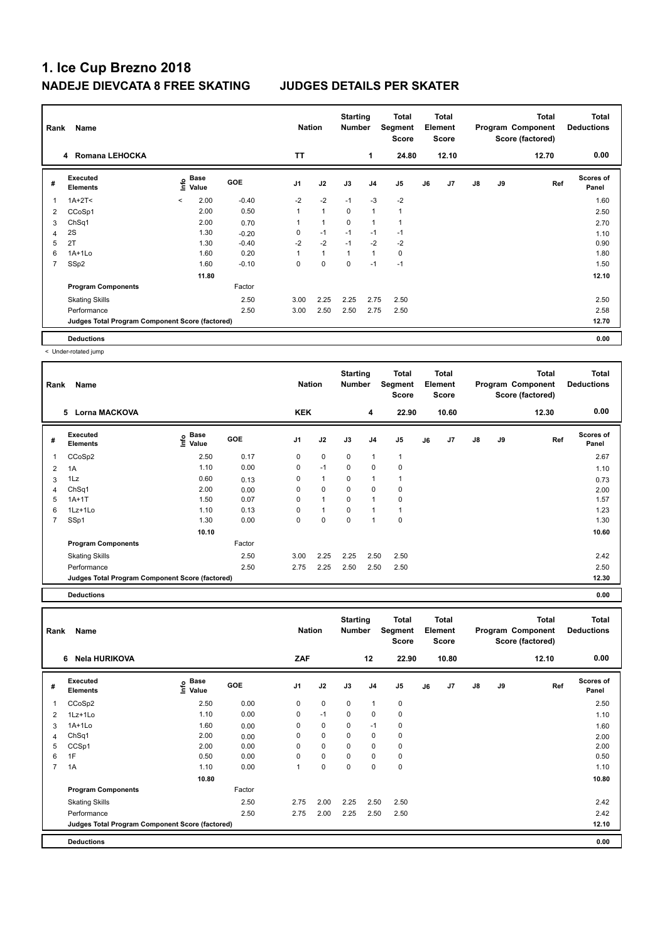| Rank | Name                                            |              |                           |            | <b>Nation</b>  |                | <b>Starting</b><br><b>Number</b> |                | Total<br>Segment<br>Score |    | <b>Total</b><br>Element<br><b>Score</b> |               |    | <b>Total</b><br>Program Component<br>Score (factored) | Total<br><b>Deductions</b> |
|------|-------------------------------------------------|--------------|---------------------------|------------|----------------|----------------|----------------------------------|----------------|---------------------------|----|-----------------------------------------|---------------|----|-------------------------------------------------------|----------------------------|
|      | <b>Romana LEHOCKA</b><br>4                      |              |                           |            | <b>TT</b>      |                |                                  | 1              | 24.80                     |    | 12.10                                   |               |    | 12.70                                                 | 0.00                       |
| #    | <b>Executed</b><br><b>Elements</b>              |              | Base<br>e Base<br>⊆ Value | <b>GOE</b> | J <sub>1</sub> | J2             | J3                               | J <sub>4</sub> | J5                        | J6 | J7                                      | $\mathsf{J}8$ | J9 | Ref                                                   | <b>Scores of</b><br>Panel  |
|      | $1A+2T2$                                        | $\checkmark$ | 2.00                      | $-0.40$    | $-2$           | $-2$           | $-1$                             | $-3$           | $-2$                      |    |                                         |               |    |                                                       | 1.60                       |
| 2    | CCoSp1                                          |              | 2.00                      | 0.50       | 1              | $\mathbf{1}$   | $\mathbf 0$                      | $\overline{1}$ | $\mathbf{1}$              |    |                                         |               |    |                                                       | 2.50                       |
| 3    | Ch <sub>Sq1</sub>                               |              | 2.00                      | 0.70       | 1              | $\overline{1}$ | $\mathbf 0$                      | 1              |                           |    |                                         |               |    |                                                       | 2.70                       |
| 4    | 2S                                              |              | 1.30                      | $-0.20$    | 0              | $-1$           | $-1$                             | $-1$           | $-1$                      |    |                                         |               |    |                                                       | 1.10                       |
| 5    | 2T                                              |              | 1.30                      | $-0.40$    | $-2$           | $-2$           | $-1$                             | $-2$           | $-2$                      |    |                                         |               |    |                                                       | 0.90                       |
| 6    | $1A+1Lo$                                        |              | 1.60                      | 0.20       | 1              | $\mathbf{1}$   | 1                                | $\overline{1}$ | 0                         |    |                                         |               |    |                                                       | 1.80                       |
| 7    | SSp2                                            |              | 1.60                      | $-0.10$    | 0              | $\mathbf 0$    | 0                                | $-1$           | $-1$                      |    |                                         |               |    |                                                       | 1.50                       |
|      |                                                 |              | 11.80                     |            |                |                |                                  |                |                           |    |                                         |               |    |                                                       | 12.10                      |
|      | <b>Program Components</b>                       |              |                           | Factor     |                |                |                                  |                |                           |    |                                         |               |    |                                                       |                            |
|      | <b>Skating Skills</b>                           |              |                           | 2.50       | 3.00           | 2.25           | 2.25                             | 2.75           | 2.50                      |    |                                         |               |    |                                                       | 2.50                       |
|      | Performance                                     |              |                           | 2.50       | 3.00           | 2.50           | 2.50                             | 2.75           | 2.50                      |    |                                         |               |    |                                                       | 2.58                       |
|      | Judges Total Program Component Score (factored) |              |                           |            |                |                |                                  |                |                           |    |                                         |               |    |                                                       | 12.70                      |
|      | <b>Deductions</b>                               |              |                           |            |                |                |                                  |                |                           |    |                                         |               |    |                                                       | 0.00                       |

< Under-rotated jump

| Rank           | Name                                            |                              |            | <b>Nation</b>  |              | <b>Starting</b><br><b>Number</b> |                | <b>Total</b><br>Segment<br><b>Score</b> |    | <b>Total</b><br>Element<br><b>Score</b> |               |    | <b>Total</b><br>Program Component<br>Score (factored) | Total<br><b>Deductions</b> |
|----------------|-------------------------------------------------|------------------------------|------------|----------------|--------------|----------------------------------|----------------|-----------------------------------------|----|-----------------------------------------|---------------|----|-------------------------------------------------------|----------------------------|
|                | 5<br><b>Lorna MACKOVA</b>                       |                              |            | <b>KEK</b>     |              |                                  | 4              | 22.90                                   |    | 10.60                                   |               |    | 12.30                                                 | 0.00                       |
| #              | <b>Executed</b><br><b>Elements</b>              | <b>Base</b><br>lnfo<br>Value | <b>GOE</b> | J <sub>1</sub> | J2           | J3                               | J <sub>4</sub> | J <sub>5</sub>                          | J6 | J7                                      | $\mathsf{J}8$ | J9 | Ref                                                   | <b>Scores of</b><br>Panel  |
| 1              | CCoSp2                                          | 2.50                         | 0.17       | 0              | $\mathbf 0$  | $\mathbf 0$                      | $\mathbf{1}$   | $\overline{1}$                          |    |                                         |               |    |                                                       | 2.67                       |
| 2              | 1A                                              | 1.10                         | 0.00       | 0              | $-1$         | $\mathbf 0$                      | $\mathbf 0$    | 0                                       |    |                                         |               |    |                                                       | 1.10                       |
| 3              | 1Lz                                             | 0.60                         | 0.13       | $\Omega$       | $\mathbf{1}$ | $\mathbf 0$                      | $\mathbf{1}$   |                                         |    |                                         |               |    |                                                       | 0.73                       |
| 4              | Ch <sub>Sq1</sub>                               | 2.00                         | 0.00       | 0              | 0            | $\Omega$                         | 0              | 0                                       |    |                                         |               |    |                                                       | 2.00                       |
| 5              | $1A+1T$                                         | 1.50                         | 0.07       | 0              | $\mathbf{1}$ | 0                                | $\mathbf{1}$   | 0                                       |    |                                         |               |    |                                                       | 1.57                       |
| 6              | $1Lz+1Lo$                                       | 1.10                         | 0.13       | $\Omega$       | $\mathbf{1}$ | $\mathbf 0$                      | $\mathbf{1}$   |                                         |    |                                         |               |    |                                                       | 1.23                       |
| $\overline{7}$ | SSp1                                            | 1.30                         | 0.00       | 0              | $\mathbf 0$  | $\Omega$                         | $\mathbf{1}$   | $\mathbf 0$                             |    |                                         |               |    |                                                       | 1.30                       |
|                |                                                 | 10.10                        |            |                |              |                                  |                |                                         |    |                                         |               |    |                                                       | 10.60                      |
|                | <b>Program Components</b>                       |                              | Factor     |                |              |                                  |                |                                         |    |                                         |               |    |                                                       |                            |
|                | <b>Skating Skills</b>                           |                              | 2.50       | 3.00           | 2.25         | 2.25                             | 2.50           | 2.50                                    |    |                                         |               |    |                                                       | 2.42                       |
|                | Performance                                     |                              | 2.50       | 2.75           | 2.25         | 2.50                             | 2.50           | 2.50                                    |    |                                         |               |    |                                                       | 2.50                       |
|                | Judges Total Program Component Score (factored) |                              |            |                |              |                                  |                |                                         |    |                                         |               |    |                                                       | 12.30                      |
|                | <b>Deductions</b>                               |                              |            |                |              |                                  |                |                                         |    |                                         |               |    |                                                       | 0.00                       |

**Total Deductions Total Program Component Score (factored) Total Element Segment Score Total Score Starting Rank Name Nation Number # Executed Elements Base Value GOE J1 J2 J3 J4 J5 J6 J7 J8 J9 Scores of Panel** 1 2.50 0.00 0 0 0 1 0 **Ref**  سمان المساحة التي يوسع المساحة التي يوسع المساحة التي يوسع المساحة التي يوسع التي يوسع التي يوسع التي يوسع الت<br>19 Internets - Elements - Elements - Elements - Elements - Elements - Elements - Elements - Elements - Element  **6 Nela HURIKOVA ZAF 12 22.90 10.80 12.10 0.00** 2 1Lz+1Lo 1.10 0.00 0 -1 0 0 0 1.10 3 1A+1Lo 1.60 0.00 0 0 0 -1 0 1.60 4 ChSq1 2.00 0.00 0 0 0 0 0 2.00 5 CCSp1 2.00 0.00 0 0 0 0 0 2.00 6 1F 0.50 0.00 0 0 0 0 0 0.50 7 1A 1.10 0.00 1 0 0 0 0 1.10  **10.80 10.80 Program Components**  Skating Skills 2.75 2.00 2.25 2.50 2.50 2.50 2.42 Factor Performance 2.50 2.75 2.00 2.25 2.50 2.50 2.42 **Deductions 0.00 Judges Total Program Component Score (factored) 12.10**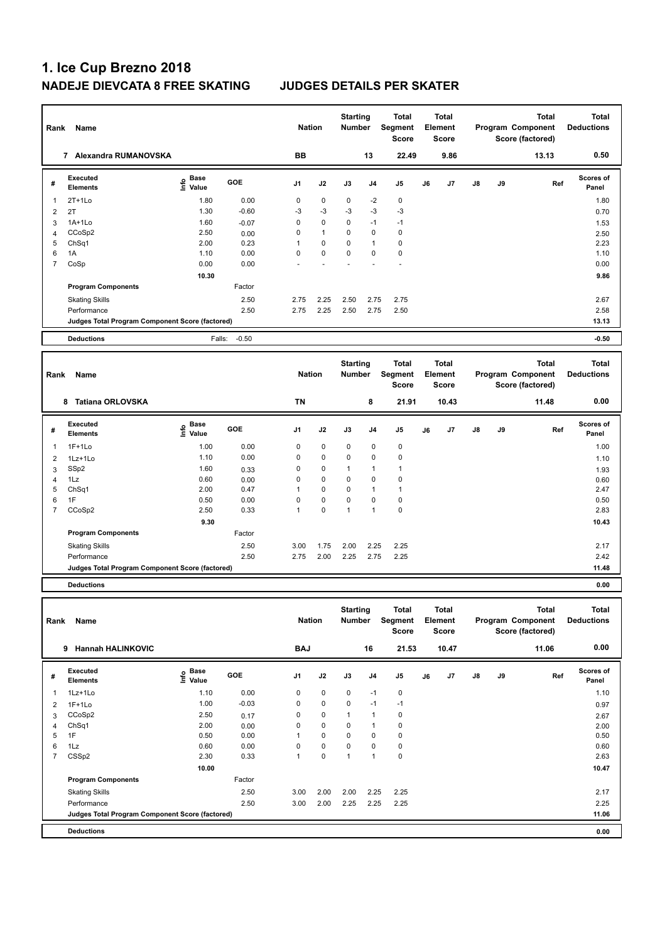| Rank           | Name                                            |                   |         | <b>Nation</b> |              | <b>Starting</b><br><b>Number</b> |                | <b>Total</b><br>Segment<br>Score        |    | <b>Total</b><br>Element<br><b>Score</b>        |    |    | <b>Total</b><br>Program Component<br>Score (factored) | <b>Total</b><br><b>Deductions</b> |
|----------------|-------------------------------------------------|-------------------|---------|---------------|--------------|----------------------------------|----------------|-----------------------------------------|----|------------------------------------------------|----|----|-------------------------------------------------------|-----------------------------------|
|                | 7 Alexandra RUMANOVSKA                          |                   |         | <b>BB</b>     |              |                                  | 13             | 22.49                                   |    | 9.86                                           |    |    | 13.13                                                 | 0.50                              |
| #              | <b>Executed</b><br><b>Elements</b>              | e Base<br>E Value | GOE     | J1            | J2           | J3                               | J <sub>4</sub> | J5                                      | J6 | J7                                             | J8 | J9 | Ref                                                   | Scores of<br>Panel                |
| $\mathbf{1}$   | $2T+1Lo$                                        | 1.80              | 0.00    | $\mathbf 0$   | $\mathbf 0$  | $\mathbf 0$                      | $-2$           | 0                                       |    |                                                |    |    |                                                       | 1.80                              |
| $\overline{2}$ | 2T                                              | 1.30              | $-0.60$ | -3            | $-3$         | -3                               | $-3$           | $-3$                                    |    |                                                |    |    |                                                       | 0.70                              |
| 3              | $1A+1Lo$                                        | 1.60              | $-0.07$ | $\mathbf 0$   | $\mathbf 0$  | $\mathbf 0$                      | $-1$           | $-1$                                    |    |                                                |    |    |                                                       | 1.53                              |
| $\overline{4}$ | CCoSp2                                          | 2.50              | 0.00    | $\mathbf 0$   | $\mathbf{1}$ | $\mathbf 0$                      | $\mathbf 0$    | 0                                       |    |                                                |    |    |                                                       | 2.50                              |
| 5              | ChSq1                                           | 2.00              | 0.23    | $\mathbf{1}$  | $\mathbf 0$  | $\mathbf 0$                      | $\mathbf{1}$   | 0                                       |    |                                                |    |    |                                                       | 2.23                              |
| 6              | 1A                                              | 1.10              | 0.00    | $\Omega$      | $\mathbf 0$  | $\mathbf 0$                      | $\mathbf 0$    | 0                                       |    |                                                |    |    |                                                       | 1.10                              |
| $\overline{7}$ | CoSp                                            | 0.00              | 0.00    |               |              |                                  |                | ÷,                                      |    |                                                |    |    |                                                       | 0.00                              |
|                |                                                 | 10.30             |         |               |              |                                  |                |                                         |    |                                                |    |    |                                                       | 9.86                              |
|                | <b>Program Components</b>                       |                   | Factor  |               |              |                                  |                |                                         |    |                                                |    |    |                                                       |                                   |
|                | <b>Skating Skills</b>                           |                   | 2.50    | 2.75          | 2.25         | 2.50                             | 2.75           | 2.75                                    |    |                                                |    |    |                                                       | 2.67                              |
|                | Performance                                     |                   | 2.50    | 2.75          | 2.25         | 2.50                             | 2.75           | 2.50                                    |    |                                                |    |    |                                                       | 2.58                              |
|                | Judges Total Program Component Score (factored) |                   |         |               |              |                                  |                |                                         |    |                                                |    |    |                                                       | 13.13                             |
|                | <b>Deductions</b>                               | Falls:            | $-0.50$ |               |              |                                  |                |                                         |    |                                                |    |    |                                                       | $-0.50$                           |
|                |                                                 |                   |         |               |              |                                  |                |                                         |    |                                                |    |    |                                                       |                                   |
| Rank           | Name                                            |                   |         | <b>Nation</b> |              | <b>Starting</b><br><b>Number</b> |                | <b>Total</b><br>Segment<br><b>Score</b> |    | <b>Total</b><br><b>Element</b><br><b>Score</b> |    |    | <b>Total</b><br>Program Component<br>Score (factored) | <b>Total</b><br><b>Deductions</b> |
|                | 8 Tatiana ORLOVSKA                              |                   |         | <b>TN</b>     |              |                                  | 8              | 21.91                                   |    | 10.43                                          |    |    | 11.48                                                 | 0.00                              |
| #              | <b>Executed</b><br><b>Elements</b>              | e Base<br>E Value | GOE     | J1            | J2           | J3                               | J4             | J5                                      | J6 | J7                                             | J8 | J9 | Ref                                                   | <b>Scores of</b><br>Panel         |
| $\mathbf{1}$   | $1F+1Lo$                                        | 1.00              | 0.00    | 0             | $\pmb{0}$    | 0                                | 0              | 0                                       |    |                                                |    |    |                                                       | 1.00                              |
| $\overline{2}$ | 1Lz+1Lo                                         | 1.10              | 0.00    | 0             | $\pmb{0}$    | 0                                | 0              | 0                                       |    |                                                |    |    |                                                       | 1.10                              |
| 3              | SSp2                                            | 1.60              | 0.33    | 0             | $\mathbf 0$  | $\mathbf{1}$                     | $\mathbf{1}$   | 1                                       |    |                                                |    |    |                                                       | 1.93                              |
| $\overline{4}$ | 1Lz                                             | 0.60              | 0.00    | $\mathbf 0$   | 0            | $\mathbf 0$                      | $\mathbf 0$    | 0                                       |    |                                                |    |    |                                                       | 0.60                              |
| 5              | ChSq1                                           | 2.00              | 0.47    | $\mathbf{1}$  | 0            | $\mathbf 0$                      | $\mathbf{1}$   | $\mathbf{1}$                            |    |                                                |    |    |                                                       | 2.47                              |
| 6              | 1F                                              | 0.50              | 0.00    | $\mathbf 0$   | $\pmb{0}$    | $\mathbf 0$                      | $\mathbf 0$    | 0                                       |    |                                                |    |    |                                                       | 0.50                              |
| $\overline{7}$ | CCoSp2                                          | 2.50              | 0.33    | $\mathbf{1}$  | $\mathbf 0$  | $\mathbf{1}$                     | $\mathbf{1}$   | 0                                       |    |                                                |    |    |                                                       | 2.83                              |
|                |                                                 | 9.30              |         |               |              |                                  |                |                                         |    |                                                |    |    |                                                       | 10.43                             |
|                | <b>Program Components</b>                       |                   | Factor  |               |              |                                  |                |                                         |    |                                                |    |    |                                                       |                                   |
|                | <b>Skating Skills</b>                           |                   | 2.50    | 3.00          | 1.75         | 2.00                             | 2.25           | 2.25                                    |    |                                                |    |    |                                                       | 2.17                              |
|                | Performance                                     |                   | 2.50    | 2.75          | 2.00         | 2.25                             | 2.75           | 2.25                                    |    |                                                |    |    |                                                       | 2.42                              |
|                | Judges Total Program Component Score (factored) |                   |         |               |              |                                  |                |                                         |    |                                                |    |    |                                                       | 11.48                             |
|                | <b>Deductions</b>                               |                   |         |               |              |                                  |                |                                         |    |                                                |    |    |                                                       | 0.00                              |
|                |                                                 |                   |         |               |              |                                  |                |                                         |    |                                                |    |    |                                                       |                                   |
| Rank           | Name                                            |                   |         | <b>Nation</b> |              | <b>Starting</b><br><b>Number</b> |                | <b>Total</b><br>Segment                 |    | <b>Total</b><br>Element                        |    |    | <b>Total</b><br>Program Component                     | <b>Total</b><br><b>Deductions</b> |

| Rank | Name                                            |                                    |         | <b>Nation</b>  |             | <br><b>Number</b> |                | <br>Segment<br><b>Score</b> |    | <br>Element<br><b>Score</b> |               |    | .<br>Program Component<br>Score (factored) | <br><b>Deductions</b> |
|------|-------------------------------------------------|------------------------------------|---------|----------------|-------------|-------------------|----------------|-----------------------------|----|-----------------------------|---------------|----|--------------------------------------------|-----------------------|
|      | <b>Hannah HALINKOVIC</b><br>9                   |                                    |         | <b>BAJ</b>     |             |                   | 16             | 21.53                       |    | 10.47                       |               |    | 11.06                                      | 0.00                  |
| #    | Executed<br><b>Elements</b>                     | <b>Base</b><br>$\frac{6}{5}$ Value | GOE     | J <sub>1</sub> | J2          | J3                | J <sub>4</sub> | J <sub>5</sub>              | J6 | J7                          | $\mathsf{J}8$ | J9 | Ref                                        | Scores of<br>Panel    |
| 1    | 1Lz+1Lo                                         | 1.10                               | 0.00    | 0              | 0           | $\mathbf 0$       | $-1$           | 0                           |    |                             |               |    |                                            | 1.10                  |
| 2    | $1F+1Lo$                                        | 1.00                               | $-0.03$ | 0              | $\mathbf 0$ | 0                 | $-1$           | $-1$                        |    |                             |               |    |                                            | 0.97                  |
| 3    | CCoSp2                                          | 2.50                               | 0.17    | 0              | 0           | $\mathbf{1}$      | 1              | 0                           |    |                             |               |    |                                            | 2.67                  |
| 4    | ChSq1                                           | 2.00                               | 0.00    | 0              | $\mathbf 0$ | 0                 | 1              | $\pmb{0}$                   |    |                             |               |    |                                            | 2.00                  |
| 5    | 1F                                              | 0.50                               | 0.00    | 1              | $\mathbf 0$ | 0                 | 0              | 0                           |    |                             |               |    |                                            | 0.50                  |
| 6    | 1Lz                                             | 0.60                               | 0.00    | 0              | 0           | 0                 | 0              | 0                           |    |                             |               |    |                                            | 0.60                  |
| 7    | CSS <sub>p2</sub>                               | 2.30                               | 0.33    | 1              | 0           | $\mathbf{1}$      | 1              | $\mathbf 0$                 |    |                             |               |    |                                            | 2.63                  |
|      |                                                 | 10.00                              |         |                |             |                   |                |                             |    |                             |               |    |                                            | 10.47                 |
|      | <b>Program Components</b>                       |                                    | Factor  |                |             |                   |                |                             |    |                             |               |    |                                            |                       |
|      | <b>Skating Skills</b>                           |                                    | 2.50    | 3.00           | 2.00        | 2.00              | 2.25           | 2.25                        |    |                             |               |    |                                            | 2.17                  |
|      | Performance                                     |                                    | 2.50    | 3.00           | 2.00        | 2.25              | 2.25           | 2.25                        |    |                             |               |    |                                            | 2.25                  |
|      | Judges Total Program Component Score (factored) |                                    |         |                |             |                   |                |                             |    |                             |               |    |                                            | 11.06                 |
|      | <b>Deductions</b>                               |                                    |         |                |             |                   |                |                             |    |                             |               |    |                                            | 0.00                  |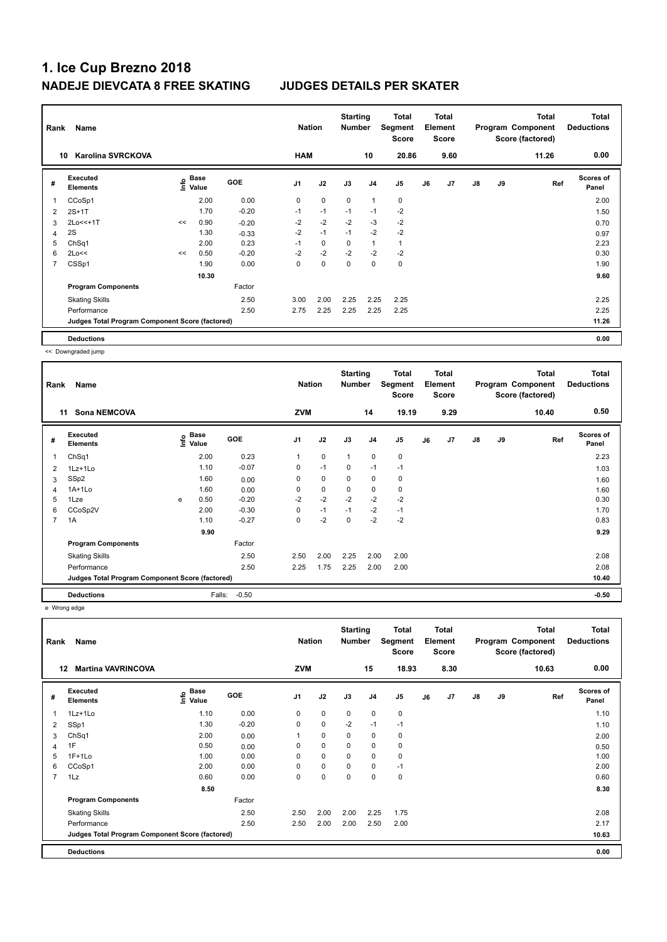| Rank | Name                                            |    |                           |         | <b>Nation</b>  |             | <b>Starting</b><br><b>Number</b> |                | Total<br>Segment<br><b>Score</b> |    | <b>Total</b><br>Element<br><b>Score</b> |    |    | <b>Total</b><br>Program Component<br>Score (factored) | <b>Total</b><br><b>Deductions</b> |
|------|-------------------------------------------------|----|---------------------------|---------|----------------|-------------|----------------------------------|----------------|----------------------------------|----|-----------------------------------------|----|----|-------------------------------------------------------|-----------------------------------|
| 10   | <b>Karolina SVRCKOVA</b>                        |    |                           |         | <b>HAM</b>     |             |                                  | 10             | 20.86                            |    | 9.60                                    |    |    | 11.26                                                 | 0.00                              |
| #    | <b>Executed</b><br><b>Elements</b>              |    | Base<br>o Base<br>⊆ Value | GOE     | J <sub>1</sub> | J2          | J3                               | J <sub>4</sub> | J5                               | J6 | J7                                      | J8 | J9 | Ref                                                   | <b>Scores of</b><br>Panel         |
| 1    | CCoSp1                                          |    | 2.00                      | 0.00    | 0              | $\mathbf 0$ | $\mathbf 0$                      | $\overline{1}$ | 0                                |    |                                         |    |    |                                                       | 2.00                              |
| 2    | $2S+1T$                                         |    | 1.70                      | $-0.20$ | $-1$           | $-1$        | $-1$                             | $-1$           | $-2$                             |    |                                         |    |    |                                                       | 1.50                              |
| 3    | 2Lo<<+1T                                        | << | 0.90                      | $-0.20$ | $-2$           | $-2$        | $-2$                             | $-3$           | -2                               |    |                                         |    |    |                                                       | 0.70                              |
| 4    | 2S                                              |    | 1.30                      | $-0.33$ | $-2$           | $-1$        | $-1$                             | $-2$           | $-2$                             |    |                                         |    |    |                                                       | 0.97                              |
| 5    | ChSq1                                           |    | 2.00                      | 0.23    | $-1$           | $\mathbf 0$ | 0                                | $\overline{1}$ | $\mathbf{1}$                     |    |                                         |    |    |                                                       | 2.23                              |
| 6    | 2Lo<<                                           | << | 0.50                      | $-0.20$ | $-2$           | $-2$        | $-2$                             | $-2$           | $-2$                             |    |                                         |    |    |                                                       | 0.30                              |
| 7    | CSSp1                                           |    | 1.90                      | 0.00    | $\Omega$       | $\mathbf 0$ | 0                                | 0              | $\pmb{0}$                        |    |                                         |    |    |                                                       | 1.90                              |
|      |                                                 |    | 10.30                     |         |                |             |                                  |                |                                  |    |                                         |    |    |                                                       | 9.60                              |
|      | <b>Program Components</b>                       |    |                           | Factor  |                |             |                                  |                |                                  |    |                                         |    |    |                                                       |                                   |
|      | <b>Skating Skills</b>                           |    |                           | 2.50    | 3.00           | 2.00        | 2.25                             | 2.25           | 2.25                             |    |                                         |    |    |                                                       | 2.25                              |
|      | Performance                                     |    |                           | 2.50    | 2.75           | 2.25        | 2.25                             | 2.25           | 2.25                             |    |                                         |    |    |                                                       | 2.25                              |
|      | Judges Total Program Component Score (factored) |    |                           |         |                |             |                                  |                |                                  |    |                                         |    |    |                                                       | 11.26                             |
|      | <b>Deductions</b>                               |    |                           |         |                |             |                                  |                |                                  |    |                                         |    |    |                                                       | 0.00                              |

<< Downgraded jump

| Rank           | Name                                            |   |                            |            | <b>Nation</b>  |             | <b>Starting</b><br><b>Number</b> |                | Total<br>Segment<br><b>Score</b> |    | <b>Total</b><br>Element<br><b>Score</b> |    |    | <b>Total</b><br>Program Component<br>Score (factored) | <b>Total</b><br><b>Deductions</b> |
|----------------|-------------------------------------------------|---|----------------------------|------------|----------------|-------------|----------------------------------|----------------|----------------------------------|----|-----------------------------------------|----|----|-------------------------------------------------------|-----------------------------------|
| 11             | <b>Sona NEMCOVA</b>                             |   |                            |            | <b>ZVM</b>     |             |                                  | 14             | 19.19                            |    | 9.29                                    |    |    | 10.40                                                 | 0.50                              |
| #              | Executed<br><b>Elements</b>                     |   | e Base<br>E Value<br>Value | <b>GOE</b> | J <sub>1</sub> | J2          | J3                               | J <sub>4</sub> | J <sub>5</sub>                   | J6 | J <sub>7</sub>                          | J8 | J9 | Ref                                                   | Scores of<br>Panel                |
| 1              | Ch <sub>Sq1</sub>                               |   | 2.00                       | 0.23       |                | $\mathbf 0$ | $\mathbf{1}$                     | $\mathbf 0$    | 0                                |    |                                         |    |    |                                                       | 2.23                              |
| 2              | 1Lz+1Lo                                         |   | 1.10                       | $-0.07$    | 0              | $-1$        | 0                                | $-1$           | $-1$                             |    |                                         |    |    |                                                       | 1.03                              |
| 3              | SSp2                                            |   | 1.60                       | 0.00       | 0              | 0           | 0                                | 0              | 0                                |    |                                         |    |    |                                                       | 1.60                              |
| 4              | $1A+1Lo$                                        |   | 1.60                       | 0.00       | 0              | $\mathbf 0$ | 0                                | 0              | 0                                |    |                                         |    |    |                                                       | 1.60                              |
| 5              | 1Lze                                            | e | 0.50                       | $-0.20$    | $-2$           | $-2$        | $-2$                             | $-2$           | $-2$                             |    |                                         |    |    |                                                       | 0.30                              |
| 6              | CCoSp2V                                         |   | 2.00                       | $-0.30$    | 0              | $-1$        | $-1$                             | $-2$           | $-1$                             |    |                                         |    |    |                                                       | 1.70                              |
| $\overline{7}$ | 1A                                              |   | 1.10                       | $-0.27$    | 0              | $-2$        | 0                                | $-2$           | $-2$                             |    |                                         |    |    |                                                       | 0.83                              |
|                |                                                 |   | 9.90                       |            |                |             |                                  |                |                                  |    |                                         |    |    |                                                       | 9.29                              |
|                | <b>Program Components</b>                       |   |                            | Factor     |                |             |                                  |                |                                  |    |                                         |    |    |                                                       |                                   |
|                | <b>Skating Skills</b>                           |   |                            | 2.50       | 2.50           | 2.00        | 2.25                             | 2.00           | 2.00                             |    |                                         |    |    |                                                       | 2.08                              |
|                | Performance                                     |   |                            | 2.50       | 2.25           | 1.75        | 2.25                             | 2.00           | 2.00                             |    |                                         |    |    |                                                       | 2.08                              |
|                | Judges Total Program Component Score (factored) |   |                            |            |                |             |                                  |                |                                  |    |                                         |    |    |                                                       | 10.40                             |
|                | <b>Deductions</b>                               |   | Falls:                     | $-0.50$    |                |             |                                  |                |                                  |    |                                         |    |    |                                                       | $-0.50$                           |

e Wrong edge

| Rank           | Name                                            |                           |            | <b>Nation</b>  |             | <b>Starting</b><br><b>Number</b> |                | Total<br>Segment<br><b>Score</b> |    | <b>Total</b><br>Element<br><b>Score</b> |    |    | <b>Total</b><br>Program Component<br>Score (factored) | <b>Total</b><br><b>Deductions</b> |
|----------------|-------------------------------------------------|---------------------------|------------|----------------|-------------|----------------------------------|----------------|----------------------------------|----|-----------------------------------------|----|----|-------------------------------------------------------|-----------------------------------|
| 12             | <b>Martina VAVRINCOVA</b>                       |                           |            | <b>ZVM</b>     |             |                                  | 15             | 18.93                            |    | 8.30                                    |    |    | 10.63                                                 | 0.00                              |
| #              | Executed<br><b>Elements</b>                     | Base<br>e Base<br>⊆ Value | <b>GOE</b> | J <sub>1</sub> | J2          | J3                               | J <sub>4</sub> | J5                               | J6 | J7                                      | J8 | J9 | Ref                                                   | <b>Scores of</b><br>Panel         |
| 1              | 1Lz+1Lo                                         | 1.10                      | 0.00       | 0              | $\mathbf 0$ | $\mathbf 0$                      | $\mathbf 0$    | 0                                |    |                                         |    |    |                                                       | 1.10                              |
| 2              | SSp1                                            | 1.30                      | $-0.20$    | 0              | $\pmb{0}$   | $-2$                             | $-1$           | $-1$                             |    |                                         |    |    |                                                       | 1.10                              |
| 3              | ChSq1                                           | 2.00                      | 0.00       |                | $\pmb{0}$   | 0                                | $\mathbf 0$    | 0                                |    |                                         |    |    |                                                       | 2.00                              |
| 4              | 1F                                              | 0.50                      | 0.00       | 0              | $\mathbf 0$ | 0                                | $\mathbf 0$    | $\mathbf 0$                      |    |                                         |    |    |                                                       | 0.50                              |
| 5              | $1F+1Lo$                                        | 1.00                      | 0.00       | 0              | $\mathbf 0$ | $\mathbf 0$                      | $\mathbf 0$    | $\pmb{0}$                        |    |                                         |    |    |                                                       | 1.00                              |
| 6              | CCoSp1                                          | 2.00                      | 0.00       | 0              | 0           | 0                                | 0              | $-1$                             |    |                                         |    |    |                                                       | 2.00                              |
| $\overline{7}$ | 1Lz                                             | 0.60                      | 0.00       | 0              | $\mathbf 0$ | $\mathbf 0$                      | $\mathbf 0$    | $\pmb{0}$                        |    |                                         |    |    |                                                       | 0.60                              |
|                |                                                 | 8.50                      |            |                |             |                                  |                |                                  |    |                                         |    |    |                                                       | 8.30                              |
|                | <b>Program Components</b>                       |                           | Factor     |                |             |                                  |                |                                  |    |                                         |    |    |                                                       |                                   |
|                | <b>Skating Skills</b>                           |                           | 2.50       | 2.50           | 2.00        | 2.00                             | 2.25           | 1.75                             |    |                                         |    |    |                                                       | 2.08                              |
|                | Performance                                     |                           | 2.50       | 2.50           | 2.00        | 2.00                             | 2.50           | 2.00                             |    |                                         |    |    |                                                       | 2.17                              |
|                | Judges Total Program Component Score (factored) |                           |            |                |             |                                  |                |                                  |    |                                         |    |    |                                                       | 10.63                             |
|                | <b>Deductions</b>                               |                           |            |                |             |                                  |                |                                  |    |                                         |    |    |                                                       | 0.00                              |